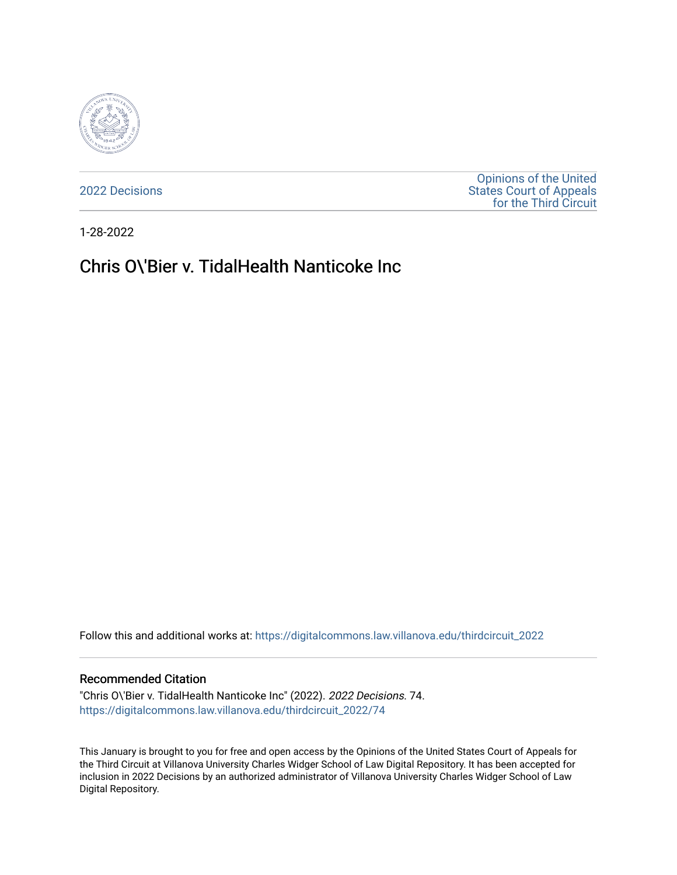

[2022 Decisions](https://digitalcommons.law.villanova.edu/thirdcircuit_2022)

[Opinions of the United](https://digitalcommons.law.villanova.edu/thirdcircuit)  [States Court of Appeals](https://digitalcommons.law.villanova.edu/thirdcircuit)  [for the Third Circuit](https://digitalcommons.law.villanova.edu/thirdcircuit) 

1-28-2022

# Chris O\'Bier v. TidalHealth Nanticoke Inc

Follow this and additional works at: [https://digitalcommons.law.villanova.edu/thirdcircuit\\_2022](https://digitalcommons.law.villanova.edu/thirdcircuit_2022?utm_source=digitalcommons.law.villanova.edu%2Fthirdcircuit_2022%2F74&utm_medium=PDF&utm_campaign=PDFCoverPages) 

#### Recommended Citation

"Chris O\'Bier v. TidalHealth Nanticoke Inc" (2022). 2022 Decisions. 74. [https://digitalcommons.law.villanova.edu/thirdcircuit\\_2022/74](https://digitalcommons.law.villanova.edu/thirdcircuit_2022/74?utm_source=digitalcommons.law.villanova.edu%2Fthirdcircuit_2022%2F74&utm_medium=PDF&utm_campaign=PDFCoverPages)

This January is brought to you for free and open access by the Opinions of the United States Court of Appeals for the Third Circuit at Villanova University Charles Widger School of Law Digital Repository. It has been accepted for inclusion in 2022 Decisions by an authorized administrator of Villanova University Charles Widger School of Law Digital Repository.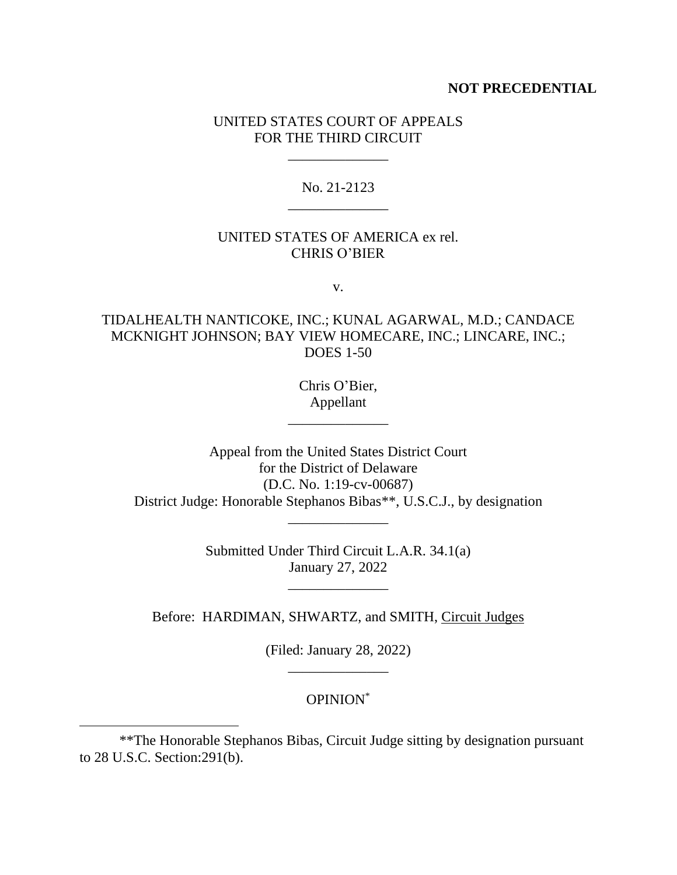#### **NOT PRECEDENTIAL**

### UNITED STATES COURT OF APPEALS FOR THE THIRD CIRCUIT

\_\_\_\_\_\_\_\_\_\_\_\_\_\_

No. 21-2123 \_\_\_\_\_\_\_\_\_\_\_\_\_\_

#### UNITED STATES OF AMERICA ex rel. CHRIS O'BIER

v.

# TIDALHEALTH NANTICOKE, INC.; KUNAL AGARWAL, M.D.; CANDACE MCKNIGHT JOHNSON; BAY VIEW HOMECARE, INC.; LINCARE, INC.; DOES 1-50

Chris O'Bier, Appellant

\_\_\_\_\_\_\_\_\_\_\_\_\_\_

Appeal from the United States District Court for the District of Delaware (D.C. No. 1:19-cv-00687) District Judge: Honorable Stephanos Bibas\*\*, U.S.C.J., by designation \_\_\_\_\_\_\_\_\_\_\_\_\_\_

> Submitted Under Third Circuit L.A.R. 34.1(a) January 27, 2022

Before: HARDIMAN, SHWARTZ, and SMITH, Circuit Judges

(Filed: January 28, 2022) \_\_\_\_\_\_\_\_\_\_\_\_\_\_

### OPINION\*

<sup>\*\*</sup>The Honorable Stephanos Bibas, Circuit Judge sitting by designation pursuant to 28 U.S.C. Section:291(b).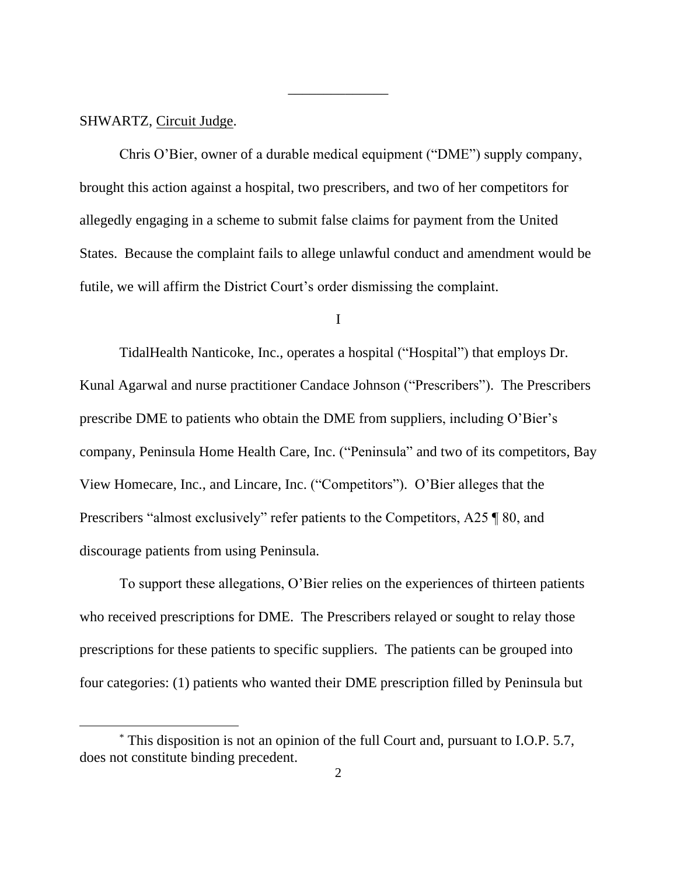#### SHWARTZ, Circuit Judge.

Chris O'Bier, owner of a durable medical equipment ("DME") supply company, brought this action against a hospital, two prescribers, and two of her competitors for allegedly engaging in a scheme to submit false claims for payment from the United States. Because the complaint fails to allege unlawful conduct and amendment would be futile, we will affirm the District Court's order dismissing the complaint.

\_\_\_\_\_\_\_\_\_\_\_\_\_\_

I

TidalHealth Nanticoke, Inc., operates a hospital ("Hospital") that employs Dr. Kunal Agarwal and nurse practitioner Candace Johnson ("Prescribers"). The Prescribers prescribe DME to patients who obtain the DME from suppliers, including O'Bier's company, Peninsula Home Health Care, Inc. ("Peninsula" and two of its competitors, Bay View Homecare, Inc., and Lincare, Inc. ("Competitors"). O'Bier alleges that the Prescribers "almost exclusively" refer patients to the Competitors, A25 ¶ 80, and discourage patients from using Peninsula.

To support these allegations, O'Bier relies on the experiences of thirteen patients who received prescriptions for DME. The Prescribers relayed or sought to relay those prescriptions for these patients to specific suppliers. The patients can be grouped into four categories: (1) patients who wanted their DME prescription filled by Peninsula but

<sup>\*</sup> This disposition is not an opinion of the full Court and, pursuant to I.O.P. 5.7, does not constitute binding precedent.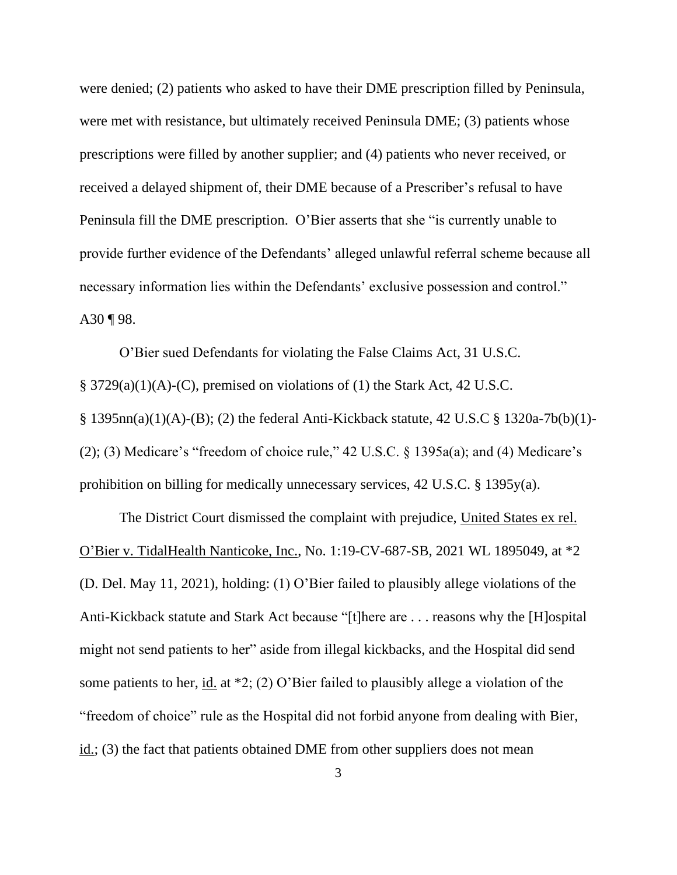were denied; (2) patients who asked to have their DME prescription filled by Peninsula, were met with resistance, but ultimately received Peninsula DME; (3) patients whose prescriptions were filled by another supplier; and (4) patients who never received, or received a delayed shipment of, their DME because of a Prescriber's refusal to have Peninsula fill the DME prescription. O'Bier asserts that she "is currently unable to provide further evidence of the Defendants' alleged unlawful referral scheme because all necessary information lies within the Defendants' exclusive possession and control." A30 ¶ 98.

O'Bier sued Defendants for violating the False Claims Act, 31 U.S.C. § 3729(a)(1)(A)-(C), premised on violations of (1) the Stark Act, 42 U.S.C. § 1395nn(a)(1)(A)-(B); (2) the federal Anti-Kickback statute, 42 U.S.C § 1320a-7b(b)(1)- (2); (3) Medicare's "freedom of choice rule,"  $42 \text{ U.S.C. }$  § 1395a(a); and (4) Medicare's prohibition on billing for medically unnecessary services, 42 U.S.C. § 1395y(a).

The District Court dismissed the complaint with prejudice, United States ex rel. O'Bier v. TidalHealth Nanticoke, Inc., No. 1:19-CV-687-SB, 2021 WL 1895049, at \*2 (D. Del. May 11, 2021), holding: (1) O'Bier failed to plausibly allege violations of the Anti-Kickback statute and Stark Act because "[t]here are . . . reasons why the [H]ospital might not send patients to her" aside from illegal kickbacks, and the Hospital did send some patients to her, <u>id.</u> at  $*2$ ; (2) O'Bier failed to plausibly allege a violation of the "freedom of choice" rule as the Hospital did not forbid anyone from dealing with Bier, id.; (3) the fact that patients obtained DME from other suppliers does not mean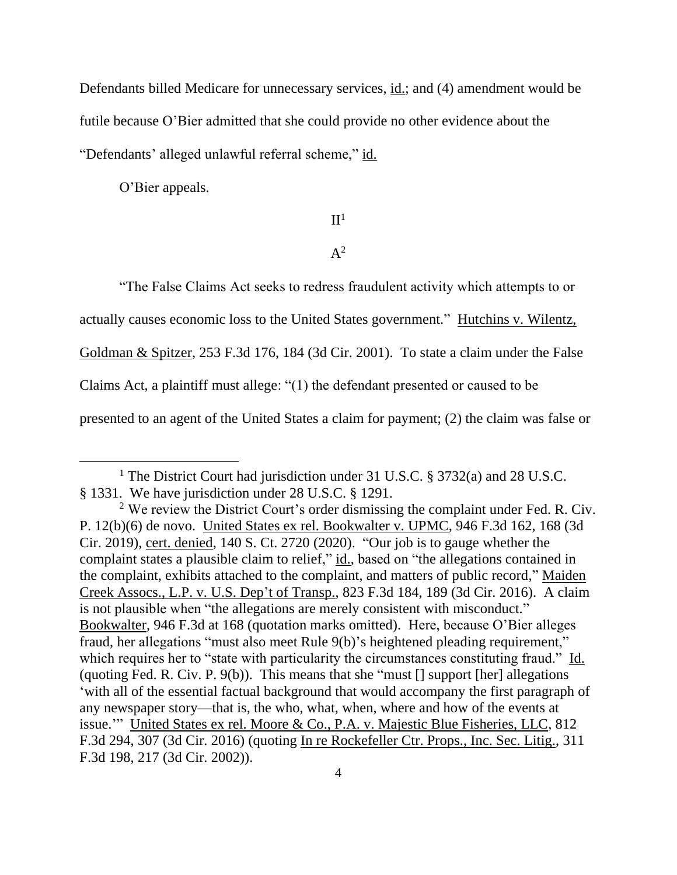Defendants billed Medicare for unnecessary services, id.; and (4) amendment would be futile because O'Bier admitted that she could provide no other evidence about the "Defendants' alleged unlawful referral scheme," id.

O'Bier appeals.

# $II<sup>1</sup>$

# $A^2$

"The False Claims Act seeks to redress fraudulent activity which attempts to or

actually causes economic loss to the United States government." Hutchins v. Wilentz,

Goldman & Spitzer, 253 F.3d 176, 184 (3d Cir. 2001). To state a claim under the False

Claims Act, a plaintiff must allege: "(1) the defendant presented or caused to be

presented to an agent of the United States a claim for payment; (2) the claim was false or

<sup>&</sup>lt;sup>1</sup> The District Court had jurisdiction under 31 U.S.C. § 3732(a) and 28 U.S.C. § 1331. We have jurisdiction under 28 U.S.C. § 1291.

<sup>&</sup>lt;sup>2</sup> We review the District Court's order dismissing the complaint under Fed. R. Civ. P. 12(b)(6) de novo. United States ex rel. Bookwalter v. UPMC, 946 F.3d 162, 168 (3d Cir. 2019), cert. denied, 140 S. Ct. 2720 (2020). "Our job is to gauge whether the complaint states a plausible claim to relief," id., based on "the allegations contained in the complaint, exhibits attached to the complaint, and matters of public record," Maiden Creek Assocs., L.P. v. U.S. Dep't of Transp., 823 F.3d 184, 189 (3d Cir. 2016). A claim is not plausible when "the allegations are merely consistent with misconduct." Bookwalter, 946 F.3d at 168 (quotation marks omitted). Here, because O'Bier alleges fraud, her allegations "must also meet Rule 9(b)'s heightened pleading requirement," which requires her to "state with particularity the circumstances constituting fraud." Id. (quoting Fed. R. Civ. P.  $9(b)$ ). This means that she "must  $\lceil \rceil$  support  $\lceil \arceil$  allegations 'with all of the essential factual background that would accompany the first paragraph of any newspaper story—that is, the who, what, when, where and how of the events at issue.'" United States ex rel. Moore & Co., P.A. v. Majestic Blue Fisheries, LLC, 812 F.3d 294, 307 (3d Cir. 2016) (quoting In re Rockefeller Ctr. Props., Inc. Sec. Litig., 311 F.3d 198, 217 (3d Cir. 2002)).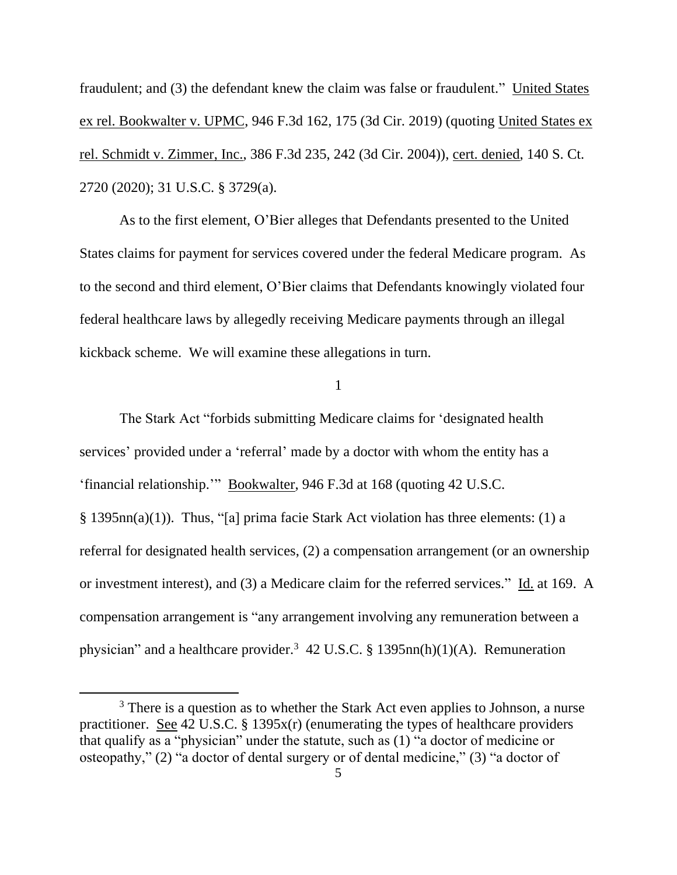fraudulent; and (3) the defendant knew the claim was false or fraudulent." United States ex rel. Bookwalter v. UPMC, 946 F.3d 162, 175 (3d Cir. 2019) (quoting United States ex rel. Schmidt v. Zimmer, Inc., 386 F.3d 235, 242 (3d Cir. 2004)), cert. denied, 140 S. Ct. 2720 (2020); 31 U.S.C. § 3729(a).

As to the first element, O'Bier alleges that Defendants presented to the United States claims for payment for services covered under the federal Medicare program. As to the second and third element, O'Bier claims that Defendants knowingly violated four federal healthcare laws by allegedly receiving Medicare payments through an illegal kickback scheme. We will examine these allegations in turn.

1

The Stark Act "forbids submitting Medicare claims for 'designated health services' provided under a 'referral' made by a doctor with whom the entity has a 'financial relationship.'" Bookwalter, 946 F.3d at 168 (quoting 42 U.S.C. § 1395nn(a)(1)). Thus, "[a] prima facie Stark Act violation has three elements: (1) a referral for designated health services, (2) a compensation arrangement (or an ownership or investment interest), and (3) a Medicare claim for the referred services." Id. at 169. A compensation arrangement is "any arrangement involving any remuneration between a physician" and a healthcare provider.<sup>3</sup> 42 U.S.C. § 1395nn(h)(1)(A). Remuneration

<sup>&</sup>lt;sup>3</sup> There is a question as to whether the Stark Act even applies to Johnson, a nurse practitioner. See 42 U.S.C. § 1395x(r) (enumerating the types of healthcare providers that qualify as a "physician" under the statute, such as (1) "a doctor of medicine or osteopathy," (2) "a doctor of dental surgery or of dental medicine," (3) "a doctor of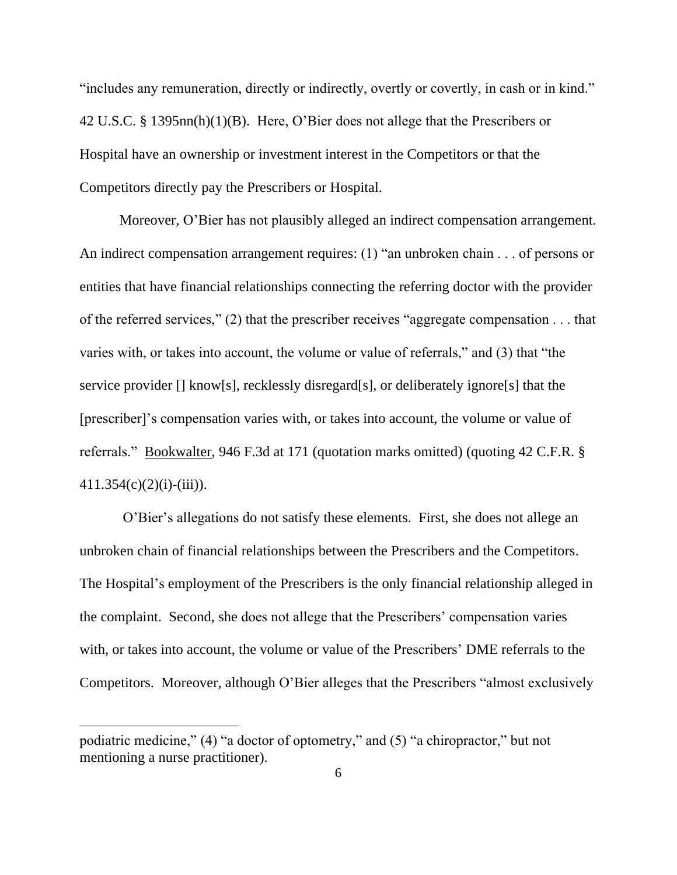"includes any remuneration, directly or indirectly, overtly or covertly, in cash or in kind." 42 U.S.C. § 1395nn(h)(1)(B). Here, O'Bier does not allege that the Prescribers or Hospital have an ownership or investment interest in the Competitors or that the Competitors directly pay the Prescribers or Hospital.

Moreover, O'Bier has not plausibly alleged an indirect compensation arrangement. An indirect compensation arrangement requires: (1) "an unbroken chain . . . of persons or entities that have financial relationships connecting the referring doctor with the provider of the referred services," (2) that the prescriber receives "aggregate compensation . . . that varies with, or takes into account, the volume or value of referrals," and (3) that "the service provider [] know[s], recklessly disregard[s], or deliberately ignore[s] that the [prescriber]'s compensation varies with, or takes into account, the volume or value of referrals." Bookwalter, 946 F.3d at 171 (quotation marks omitted) (quoting 42 C.F.R. §  $411.354(c)(2)(i)-(iii)$ ).

O'Bier's allegations do not satisfy these elements. First, she does not allege an unbroken chain of financial relationships between the Prescribers and the Competitors. The Hospital's employment of the Prescribers is the only financial relationship alleged in the complaint. Second, she does not allege that the Prescribers' compensation varies with, or takes into account, the volume or value of the Prescribers' DME referrals to the Competitors. Moreover, although O'Bier alleges that the Prescribers "almost exclusively

podiatric medicine," (4) "a doctor of optometry," and (5) "a chiropractor," but not mentioning a nurse practitioner).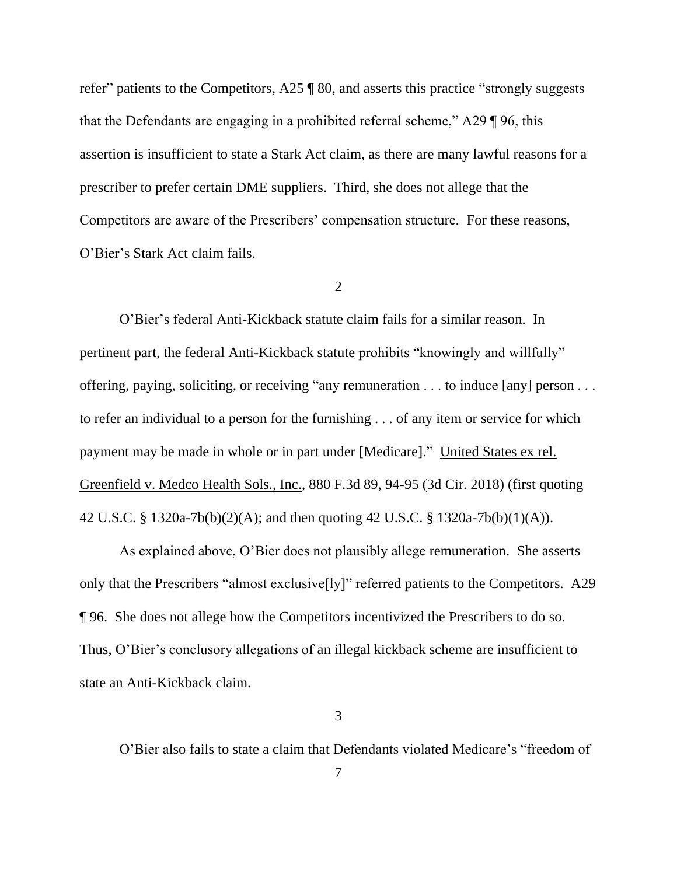refer" patients to the Competitors, A25 ¶ 80, and asserts this practice "strongly suggests that the Defendants are engaging in a prohibited referral scheme," A29 ¶ 96, this assertion is insufficient to state a Stark Act claim, as there are many lawful reasons for a prescriber to prefer certain DME suppliers. Third, she does not allege that the Competitors are aware of the Prescribers' compensation structure. For these reasons, O'Bier's Stark Act claim fails.

2

O'Bier's federal Anti-Kickback statute claim fails for a similar reason. In pertinent part, the federal Anti-Kickback statute prohibits "knowingly and willfully" offering, paying, soliciting, or receiving "any remuneration . . . to induce [any] person . . . to refer an individual to a person for the furnishing . . . of any item or service for which payment may be made in whole or in part under [Medicare]." United States ex rel. Greenfield v. Medco Health Sols., Inc., 880 F.3d 89, 94-95 (3d Cir. 2018) (first quoting 42 U.S.C. § 1320a-7b(b)(2)(A); and then quoting 42 U.S.C. § 1320a-7b(b)(1)(A)).

As explained above, O'Bier does not plausibly allege remuneration. She asserts only that the Prescribers "almost exclusive[ly]" referred patients to the Competitors. A29 ¶ 96. She does not allege how the Competitors incentivized the Prescribers to do so. Thus, O'Bier's conclusory allegations of an illegal kickback scheme are insufficient to state an Anti-Kickback claim.

3

O'Bier also fails to state a claim that Defendants violated Medicare's "freedom of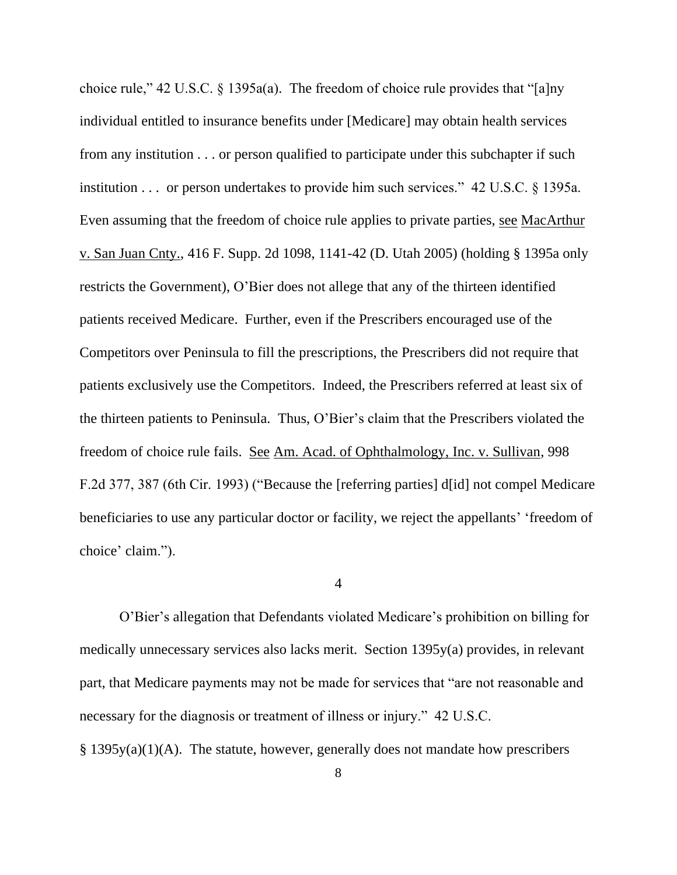choice rule," 42 U.S.C. § 1395a(a). The freedom of choice rule provides that "[a]ny individual entitled to insurance benefits under [Medicare] may obtain health services from any institution . . . or person qualified to participate under this subchapter if such institution . . . or person undertakes to provide him such services." 42 U.S.C. § 1395a. Even assuming that the freedom of choice rule applies to private parties, see MacArthur v. San Juan Cnty., 416 F. Supp. 2d 1098, 1141-42 (D. Utah 2005) (holding § 1395a only restricts the Government), O'Bier does not allege that any of the thirteen identified patients received Medicare. Further, even if the Prescribers encouraged use of the Competitors over Peninsula to fill the prescriptions, the Prescribers did not require that patients exclusively use the Competitors. Indeed, the Prescribers referred at least six of the thirteen patients to Peninsula. Thus, O'Bier's claim that the Prescribers violated the freedom of choice rule fails. See Am. Acad. of Ophthalmology, Inc. v. Sullivan, 998 F.2d 377, 387 (6th Cir. 1993) ("Because the [referring parties] d[id] not compel Medicare beneficiaries to use any particular doctor or facility, we reject the appellants' 'freedom of choice' claim.").

#### 4

O'Bier's allegation that Defendants violated Medicare's prohibition on billing for medically unnecessary services also lacks merit. Section 1395y(a) provides, in relevant part, that Medicare payments may not be made for services that "are not reasonable and necessary for the diagnosis or treatment of illness or injury." 42 U.S.C.

§ 1395y(a)(1)(A). The statute, however, generally does not mandate how prescribers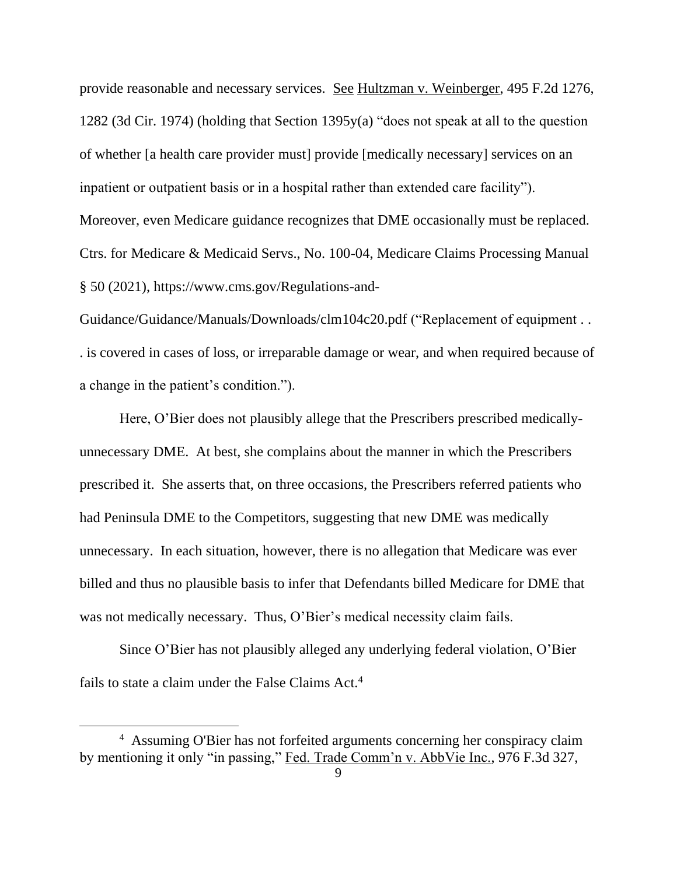provide reasonable and necessary services. See Hultzman v. Weinberger, 495 F.2d 1276, 1282 (3d Cir. 1974) (holding that Section 1395y(a) "does not speak at all to the question of whether [a health care provider must] provide [medically necessary] services on an inpatient or outpatient basis or in a hospital rather than extended care facility"). Moreover, even Medicare guidance recognizes that DME occasionally must be replaced. Ctrs. for Medicare & Medicaid Servs., No. 100-04, Medicare Claims Processing Manual § 50 (2021), https://www.cms.gov/Regulations-and-

Guidance/Guidance/Manuals/Downloads/clm104c20.pdf ("Replacement of equipment . . . is covered in cases of loss, or irreparable damage or wear, and when required because of a change in the patient's condition.").

Here, O'Bier does not plausibly allege that the Prescribers prescribed medicallyunnecessary DME. At best, she complains about the manner in which the Prescribers prescribed it. She asserts that, on three occasions, the Prescribers referred patients who had Peninsula DME to the Competitors, suggesting that new DME was medically unnecessary. In each situation, however, there is no allegation that Medicare was ever billed and thus no plausible basis to infer that Defendants billed Medicare for DME that was not medically necessary. Thus, O'Bier's medical necessity claim fails.

Since O'Bier has not plausibly alleged any underlying federal violation, O'Bier fails to state a claim under the False Claims Act.<sup>4</sup>

<sup>4</sup> Assuming O'Bier has not forfeited arguments concerning her conspiracy claim by mentioning it only "in passing," Fed. Trade Comm'n v. AbbVie Inc., 976 F.3d 327,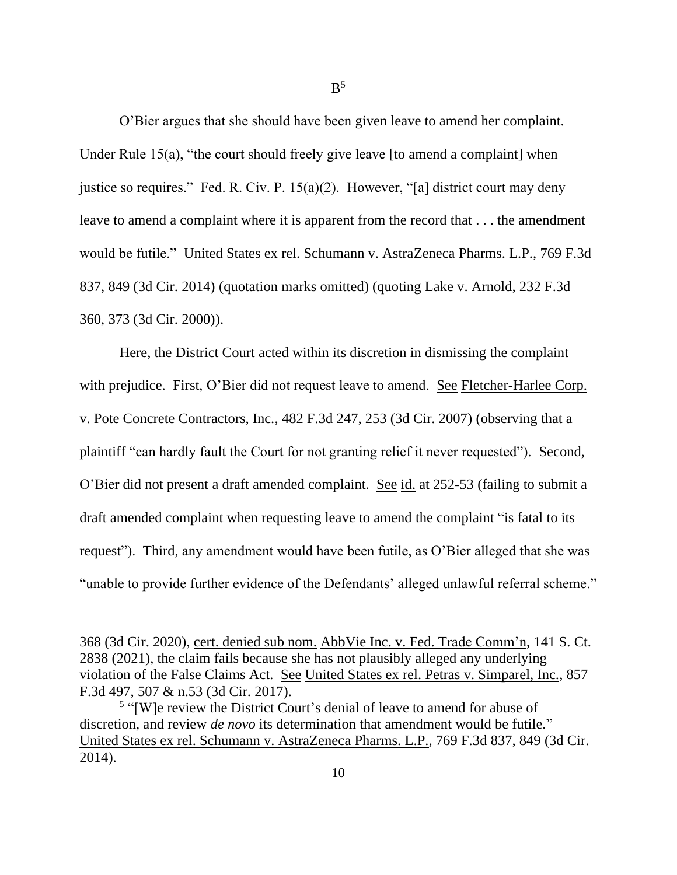O'Bier argues that she should have been given leave to amend her complaint. Under Rule 15(a), "the court should freely give leave [to amend a complaint] when justice so requires." Fed. R. Civ. P. 15(a)(2). However, "[a] district court may deny leave to amend a complaint where it is apparent from the record that . . . the amendment would be futile." United States ex rel. Schumann v. AstraZeneca Pharms. L.P., 769 F.3d 837, 849 (3d Cir. 2014) (quotation marks omitted) (quoting Lake v. Arnold, 232 F.3d 360, 373 (3d Cir. 2000)).

Here, the District Court acted within its discretion in dismissing the complaint with prejudice. First, O'Bier did not request leave to amend. See Fletcher-Harlee Corp. v. Pote Concrete Contractors, Inc., 482 F.3d 247, 253 (3d Cir. 2007) (observing that a plaintiff "can hardly fault the Court for not granting relief it never requested"). Second, O'Bier did not present a draft amended complaint. See id. at 252-53 (failing to submit a draft amended complaint when requesting leave to amend the complaint "is fatal to its request"). Third, any amendment would have been futile, as O'Bier alleged that she was "unable to provide further evidence of the Defendants' alleged unlawful referral scheme."

<sup>368 (3</sup>d Cir. 2020), cert. denied sub nom. AbbVie Inc. v. Fed. Trade Comm'n, 141 S. Ct. 2838 (2021), the claim fails because she has not plausibly alleged any underlying violation of the False Claims Act. See United States ex rel. Petras v. Simparel, Inc., 857 F.3d 497, 507 & n.53 (3d Cir. 2017).

<sup>&</sup>lt;sup>5</sup> "[W]e review the District Court's denial of leave to amend for abuse of discretion, and review *de novo* its determination that amendment would be futile." United States ex rel. Schumann v. AstraZeneca Pharms. L.P., 769 F.3d 837, 849 (3d Cir. 2014).